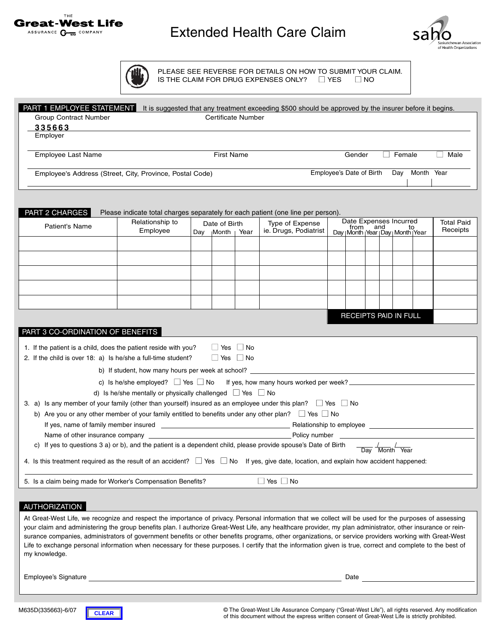

## Extended Health Care Claim



**AI** 

PLEASE SEE REVERSE FOR DETAILS ON HOW TO SUBMIT YOUR CLAIM. IS THE CLAIM FOR DRUG EXPENSES ONLY? ■ YES ■ NO

| PART 1 EMPLOYEE STATEMENT It is suggested that any treatment exceeding \$500 should be approved by the insurer before it begins.                            |                                                                                                                |                       |                           |      |                                            |                                                                                        |        |  |  |                                                            |                               |
|-------------------------------------------------------------------------------------------------------------------------------------------------------------|----------------------------------------------------------------------------------------------------------------|-----------------------|---------------------------|------|--------------------------------------------|----------------------------------------------------------------------------------------|--------|--|--|------------------------------------------------------------|-------------------------------|
| <b>Group Contract Number</b>                                                                                                                                |                                                                                                                |                       | <b>Certificate Number</b> |      |                                            |                                                                                        |        |  |  |                                                            |                               |
| 335663<br>Employer                                                                                                                                          |                                                                                                                |                       |                           |      |                                            |                                                                                        |        |  |  |                                                            |                               |
|                                                                                                                                                             |                                                                                                                |                       |                           |      |                                            |                                                                                        |        |  |  |                                                            |                               |
| Employee Last Name                                                                                                                                          |                                                                                                                | <b>First Name</b>     |                           |      |                                            |                                                                                        | Gender |  |  | $\Box$ Female                                              | $\Box$ Male                   |
| Employee's Address (Street, City, Province, Postal Code)                                                                                                    |                                                                                                                |                       |                           |      | Employee's Date of Birth  Day  Month  Year |                                                                                        |        |  |  |                                                            |                               |
|                                                                                                                                                             |                                                                                                                |                       |                           |      |                                            |                                                                                        |        |  |  |                                                            |                               |
|                                                                                                                                                             |                                                                                                                |                       |                           |      |                                            |                                                                                        |        |  |  |                                                            |                               |
| PART 2 CHARGES                                                                                                                                              | Please indicate total charges separately for each patient (one line per person).                               |                       |                           |      |                                            |                                                                                        |        |  |  |                                                            |                               |
| Patient's Name                                                                                                                                              | Relationship to                                                                                                | Date of Birth         |                           |      | Type of Expense                            | Date Expenses Incurred<br>from<br>and<br>to<br>Day   Month   Year   Day   Month   Year |        |  |  |                                                            | <b>Total Paid</b><br>Receipts |
|                                                                                                                                                             | Employee                                                                                                       |                       | Day  Month                | Year | ie. Drugs, Podiatrist                      |                                                                                        |        |  |  |                                                            |                               |
|                                                                                                                                                             |                                                                                                                |                       |                           |      |                                            |                                                                                        |        |  |  |                                                            |                               |
|                                                                                                                                                             |                                                                                                                |                       |                           |      |                                            |                                                                                        |        |  |  |                                                            |                               |
|                                                                                                                                                             |                                                                                                                |                       |                           |      |                                            |                                                                                        |        |  |  |                                                            |                               |
|                                                                                                                                                             |                                                                                                                |                       |                           |      |                                            |                                                                                        |        |  |  |                                                            |                               |
|                                                                                                                                                             |                                                                                                                |                       |                           |      |                                            |                                                                                        |        |  |  |                                                            |                               |
|                                                                                                                                                             |                                                                                                                |                       |                           |      |                                            |                                                                                        |        |  |  |                                                            |                               |
|                                                                                                                                                             |                                                                                                                |                       |                           |      |                                            |                                                                                        |        |  |  |                                                            |                               |
|                                                                                                                                                             |                                                                                                                | RECEIPTS PAID IN FULL |                           |      |                                            |                                                                                        |        |  |  |                                                            |                               |
| PART 3 CO-ORDINATION OF BENEFITS                                                                                                                            |                                                                                                                |                       |                           |      |                                            |                                                                                        |        |  |  |                                                            |                               |
| 1. If the patient is a child, does the patient reside with you?                                                                                             |                                                                                                                |                       | $\Box$ Yes $\Box$ No      |      |                                            |                                                                                        |        |  |  |                                                            |                               |
| 2. If the child is over 18: a) Is he/she a full-time student?                                                                                               |                                                                                                                |                       | $\Box$ Yes $\Box$ No      |      |                                            |                                                                                        |        |  |  |                                                            |                               |
|                                                                                                                                                             | b) If student, how many hours per week at school?                                                              |                       |                           |      |                                            |                                                                                        |        |  |  |                                                            |                               |
|                                                                                                                                                             | c) Is he/she employed? $\Box$ Yes $\Box$ No If yes, how many hours worked per week?                            |                       |                           |      |                                            |                                                                                        |        |  |  |                                                            |                               |
|                                                                                                                                                             | d) Is he/she mentally or physically challenged $\Box$ Yes $\Box$ No                                            |                       |                           |      |                                            |                                                                                        |        |  |  |                                                            |                               |
| 3. a) Is any member of your family (other than yourself) insured as an employee under this plan? $\Box$ Yes $\Box$ No                                       |                                                                                                                |                       |                           |      |                                            |                                                                                        |        |  |  |                                                            |                               |
|                                                                                                                                                             | b) Are you or any other member of your family entitled to benefits under any other plan? $\Box$ Yes $\Box$ No  |                       |                           |      |                                            |                                                                                        |        |  |  |                                                            |                               |
|                                                                                                                                                             |                                                                                                                |                       |                           |      |                                            |                                                                                        |        |  |  |                                                            |                               |
|                                                                                                                                                             |                                                                                                                |                       |                           |      | Policy number                              |                                                                                        |        |  |  |                                                            |                               |
|                                                                                                                                                             | c) If yes to questions 3 a) or b), and the patient is a dependent child, please provide spouse's Date of Birth |                       |                           |      |                                            |                                                                                        |        |  |  |                                                            |                               |
|                                                                                                                                                             |                                                                                                                |                       |                           |      |                                            |                                                                                        |        |  |  | $\frac{1}{\sqrt{2}} \frac{1}{\sqrt{2}} \frac{1}{\sqrt{2}}$ |                               |
| 4. Is this treatment required as the result of an accident? $\Box$ Yes $\Box$ No If yes, give date, location, and explain how accident happened:            |                                                                                                                |                       |                           |      |                                            |                                                                                        |        |  |  |                                                            |                               |
|                                                                                                                                                             |                                                                                                                |                       |                           |      |                                            |                                                                                        |        |  |  |                                                            |                               |
| 5. Is a claim being made for Worker's Compensation Benefits?                                                                                                |                                                                                                                |                       |                           |      | $\Box$ Yes $\Box$ No                       |                                                                                        |        |  |  |                                                            |                               |
|                                                                                                                                                             |                                                                                                                |                       |                           |      |                                            |                                                                                        |        |  |  |                                                            |                               |
| AUTHORIZATION                                                                                                                                               |                                                                                                                |                       |                           |      |                                            |                                                                                        |        |  |  |                                                            |                               |
| At Great-West Life, we recognize and respect the importance of privacy. Personal information that we collect will be used for the purposes of assessing     |                                                                                                                |                       |                           |      |                                            |                                                                                        |        |  |  |                                                            |                               |
| your claim and administering the group benefits plan. I authorize Great-West Life, any healthcare provider, my plan administrator, other insurance or rein- |                                                                                                                |                       |                           |      |                                            |                                                                                        |        |  |  |                                                            |                               |
| surance companies, administrators of government benefits or other benefits programs, other organizations, or service providers working with Great-West      |                                                                                                                |                       |                           |      |                                            |                                                                                        |        |  |  |                                                            |                               |
| Life to exchange personal information when necessary for these purposes. I certify that the information given is true, correct and complete to the best of  |                                                                                                                |                       |                           |      |                                            |                                                                                        |        |  |  |                                                            |                               |
| my knowledge.                                                                                                                                               |                                                                                                                |                       |                           |      |                                            |                                                                                        |        |  |  |                                                            |                               |
|                                                                                                                                                             |                                                                                                                |                       |                           |      |                                            |                                                                                        |        |  |  |                                                            |                               |
| Employee's Signature                                                                                                                                        |                                                                                                                |                       |                           |      |                                            |                                                                                        | Date   |  |  |                                                            |                               |

M635D(335663)-6/07

**CLEAR**

© The Great-West Life Assurance Company ("Great-West Life"), all rights reserved. Any modification of this document without the express written consent of Great-West Life is strictly prohibited.